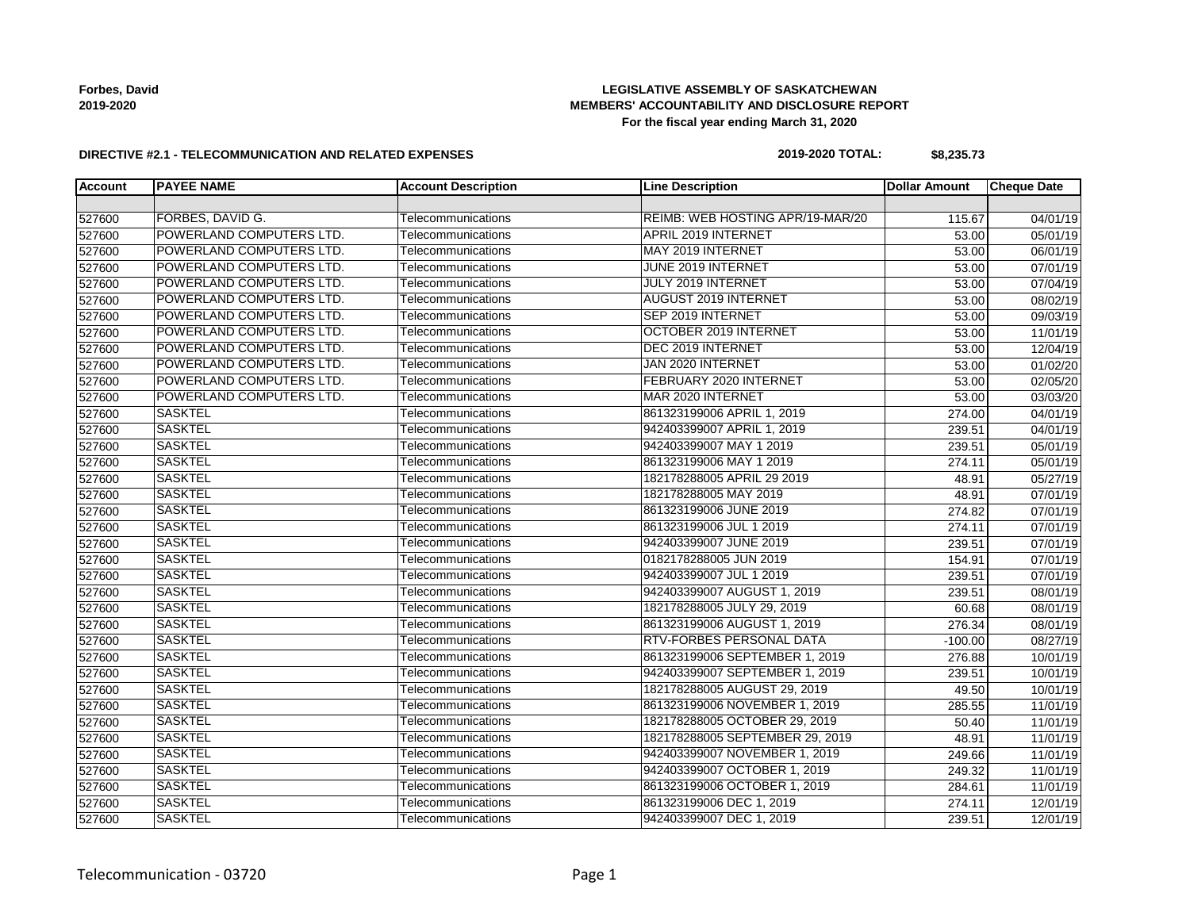## **LEGISLATIVE ASSEMBLY OF SASKATCHEWAN MEMBERS' ACCOUNTABILITY AND DISCLOSURE REPORT For the fiscal year ending March 31, 2020**

#### **DIRECTIVE #2.1 - TELECOMMUNICATION AND RELATED EXPENSES**

#### **2019-2020 TOTAL: \$8,235.73**

| <b>Account</b> | <b>PAYEE NAME</b>        | <b>Account Description</b> | <b>Line Description</b>          | Dollar Amount | <b>Cheque Date</b> |
|----------------|--------------------------|----------------------------|----------------------------------|---------------|--------------------|
|                |                          |                            |                                  |               |                    |
| 527600         | FORBES, DAVID G.         | Telecommunications         | REIMB: WEB HOSTING APR/19-MAR/20 | 115.67        | 04/01/19           |
| 527600         | POWERLAND COMPUTERS LTD. | Telecommunications         | <b>APRIL 2019 INTERNET</b>       | 53.00         | 05/01/19           |
| 527600         | POWERLAND COMPUTERS LTD. | Telecommunications         | MAY 2019 INTERNET                | 53.00         | 06/01/19           |
| 527600         | POWERLAND COMPUTERS LTD. | Telecommunications         | JUNE 2019 INTERNET               | 53.00         | 07/01/19           |
| 527600         | POWERLAND COMPUTERS LTD. | Telecommunications         | JULY 2019 INTERNET               | 53.00         | 07/04/19           |
| 527600         | POWERLAND COMPUTERS LTD. | Telecommunications         | <b>AUGUST 2019 INTERNET</b>      | 53.00         | 08/02/19           |
| 527600         | POWERLAND COMPUTERS LTD. | Telecommunications         | SEP 2019 INTERNET                | 53.00         | 09/03/19           |
| 527600         | POWERLAND COMPUTERS LTD. | Telecommunications         | OCTOBER 2019 INTERNET            | 53.00         | 11/01/19           |
| 527600         | POWERLAND COMPUTERS LTD. | Telecommunications         | DEC 2019 INTERNET                | 53.00         | 12/04/19           |
| 527600         | POWERLAND COMPUTERS LTD. | Telecommunications         | JAN 2020 INTERNET                | 53.00         | 01/02/20           |
| 527600         | POWERLAND COMPUTERS LTD. | Telecommunications         | FEBRUARY 2020 INTERNET           | 53.00         | 02/05/20           |
| 527600         | POWERLAND COMPUTERS LTD. | Telecommunications         | MAR 2020 INTERNET                | 53.00         | 03/03/20           |
| 527600         | <b>SASKTEL</b>           | Telecommunications         | 861323199006 APRIL 1, 2019       | 274.00        | 04/01/19           |
| 527600         | <b>SASKTEL</b>           | Telecommunications         | 942403399007 APRIL 1, 2019       | 239.51        | 04/01/19           |
| 527600         | <b>SASKTEL</b>           | Telecommunications         | 942403399007 MAY 1 2019          | 239.51        | 05/01/19           |
| 527600         | <b>SASKTEL</b>           | Telecommunications         | 861323199006 MAY 1 2019          | 274.11        | 05/01/19           |
| 527600         | <b>SASKTEL</b>           | Telecommunications         | 182178288005 APRIL 29 2019       | 48.91         | 05/27/19           |
| 527600         | <b>SASKTEL</b>           | Telecommunications         | 182178288005 MAY 2019            | 48.91         | 07/01/19           |
| 527600         | <b>SASKTEL</b>           | Telecommunications         | 861323199006 JUNE 2019           | 274.82        | 07/01/19           |
| 527600         | <b>SASKTEL</b>           | Telecommunications         | 861323199006 JUL 1 2019          | 274.11        | 07/01/19           |
| 527600         | <b>SASKTEL</b>           | Telecommunications         | 942403399007 JUNE 2019           | 239.51        | 07/01/19           |
| 527600         | <b>SASKTEL</b>           | Telecommunications         | 0182178288005 JUN 2019           | 154.91        | 07/01/19           |
| 527600         | <b>SASKTEL</b>           | Telecommunications         | 942403399007 JUL 1 2019          | 239.51        | 07/01/19           |
| 527600         | <b>SASKTEL</b>           | Telecommunications         | 942403399007 AUGUST 1, 2019      | 239.51        | 08/01/19           |
| 527600         | <b>SASKTEL</b>           | Telecommunications         | 182178288005 JULY 29, 2019       | 60.68         | 08/01/19           |
| 527600         | <b>SASKTEL</b>           | Telecommunications         | 861323199006 AUGUST 1, 2019      | 276.34        | 08/01/19           |
| 527600         | <b>SASKTEL</b>           | Telecommunications         | RTV-FORBES PERSONAL DATA         | $-100.00$     | 08/27/19           |
| 527600         | <b>SASKTEL</b>           | Telecommunications         | 861323199006 SEPTEMBER 1, 2019   | 276.88        | 10/01/19           |
| 527600         | <b>SASKTEL</b>           | Telecommunications         | 942403399007 SEPTEMBER 1, 2019   | 239.51        | 10/01/19           |
| 527600         | <b>SASKTEL</b>           | Telecommunications         | 182178288005 AUGUST 29, 2019     | 49.50         | 10/01/19           |
| 527600         | <b>SASKTEL</b>           | Telecommunications         | 861323199006 NOVEMBER 1, 2019    | 285.55        | 11/01/19           |
| 527600         | <b>SASKTEL</b>           | Telecommunications         | 182178288005 OCTOBER 29, 2019    | 50.40         | 11/01/19           |
| 527600         | <b>SASKTEL</b>           | Telecommunications         | 182178288005 SEPTEMBER 29, 2019  | 48.91         | 11/01/19           |
| 527600         | <b>SASKTEL</b>           | Telecommunications         | 942403399007 NOVEMBER 1, 2019    | 249.66        | 11/01/19           |
| 527600         | <b>SASKTEL</b>           | Telecommunications         | 942403399007 OCTOBER 1, 2019     | 249.32        | 11/01/19           |
| 527600         | <b>SASKTEL</b>           | Telecommunications         | 861323199006 OCTOBER 1, 2019     | 284.61        | 11/01/19           |
| 527600         | <b>SASKTEL</b>           | Telecommunications         | 861323199006 DEC 1, 2019         | 274.11        | 12/01/19           |
| 527600         | <b>SASKTEL</b>           | Telecommunications         | 942403399007 DEC 1, 2019         | 239.51        | 12/01/19           |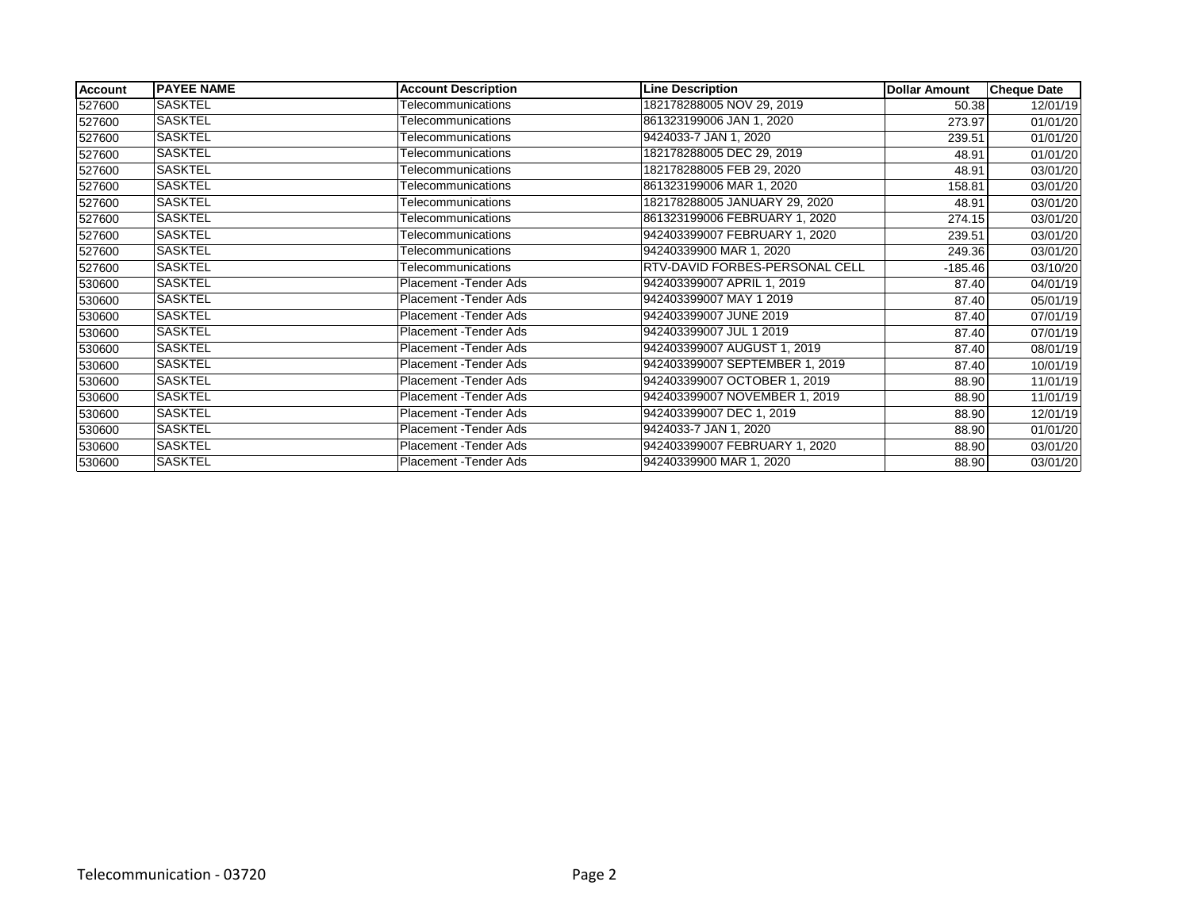| Account | <b>PAYEE NAME</b> | <b>Account Description</b> | <b>Line Description</b>               | <b>Dollar Amount</b> | <b>Cheque Date</b>    |
|---------|-------------------|----------------------------|---------------------------------------|----------------------|-----------------------|
| 527600  | <b>SASKTEL</b>    | Telecommunications         | 182178288005 NOV 29, 2019             | 50.38                | 12/01/19              |
| 527600  | SASKTEL           | Telecommunications         | 861323199006 JAN 1, 2020              | 273.97               | $\overline{01}/01/20$ |
| 527600  | SASKTEL           | Telecommunications         | 9424033-7 JAN 1, 2020                 | 239.51               | 01/01/20              |
| 527600  | SASKTEL           | Telecommunications         | 182178288005 DEC 29, 2019             | 48.91                | 01/01/20              |
| 527600  | <b>SASKTEL</b>    | Telecommunications         | 182178288005 FEB 29, 2020             | 48.91                | 03/01/20              |
| 527600  | <b>SASKTEL</b>    | Telecommunications         | 861323199006 MAR 1, 2020              | 158.81               | 03/01/20              |
| 527600  | SASKTEL           | Telecommunications         | 182178288005 JANUARY 29, 2020         | 48.91                | 03/01/20              |
| 527600  | <b>SASKTEL</b>    | Telecommunications         | 861323199006 FEBRUARY 1, 2020         | 274.15               | 03/01/20              |
| 527600  | SASKTEL           | Telecommunications         | 942403399007 FEBRUARY 1, 2020         | 239.51               | 03/01/20              |
| 527600  | SASKTEL           | Telecommunications         | 94240339900 MAR 1, 2020               | 249.36               | 03/01/20              |
| 527600  | <b>SASKTEL</b>    | Telecommunications         | <b>RTV-DAVID FORBES-PERSONAL CELL</b> | $-185.46$            | $\overline{03/10/20}$ |
| 530600  | <b>SASKTEL</b>    | Placement - Tender Ads     | 942403399007 APRIL 1, 2019            | 87.40                | 04/01/19              |
| 530600  | <b>SASKTEL</b>    | Placement - Tender Ads     | 942403399007 MAY 1 2019               | 87.40                | 05/01/19              |
| 530600  | <b>SASKTEL</b>    | Placement - Tender Ads     | 942403399007 JUNE 2019                | 87.40                | 07/01/19              |
| 530600  | SASKTEL           | Placement - Tender Ads     | 942403399007 JUL 1 2019               | 87.40                | 07/01/19              |
| 530600  | SASKTEL           | Placement - Tender Ads     | 942403399007 AUGUST 1, 2019           | 87.40                | 08/01/19              |
| 530600  | <b>SASKTEL</b>    | Placement - Tender Ads     | 942403399007 SEPTEMBER 1, 2019        | 87.40                | 10/01/19              |
| 530600  | SASKTEL           | Placement - Tender Ads     | 942403399007 OCTOBER 1, 2019          | 88.90                | 11/01/19              |
| 530600  | SASKTEL           | Placement - Tender Ads     | 942403399007 NOVEMBER 1, 2019         | 88.90                | 11/01/19              |
| 530600  | <b>SASKTEL</b>    | Placement - Tender Ads     | 942403399007 DEC 1, 2019              | 88.90                | 12/01/19              |
| 530600  | <b>SASKTEL</b>    | Placement - Tender Ads     | 9424033-7 JAN 1, 2020                 | 88.90                | $\overline{01}/01/20$ |
| 530600  | SASKTEL           | Placement - Tender Ads     | 942403399007 FEBRUARY 1, 2020         | 88.90                | 03/01/20              |
| 530600  | <b>SASKTEL</b>    | Placement - Tender Ads     | 94240339900 MAR 1, 2020               | 88.90                | 03/01/20              |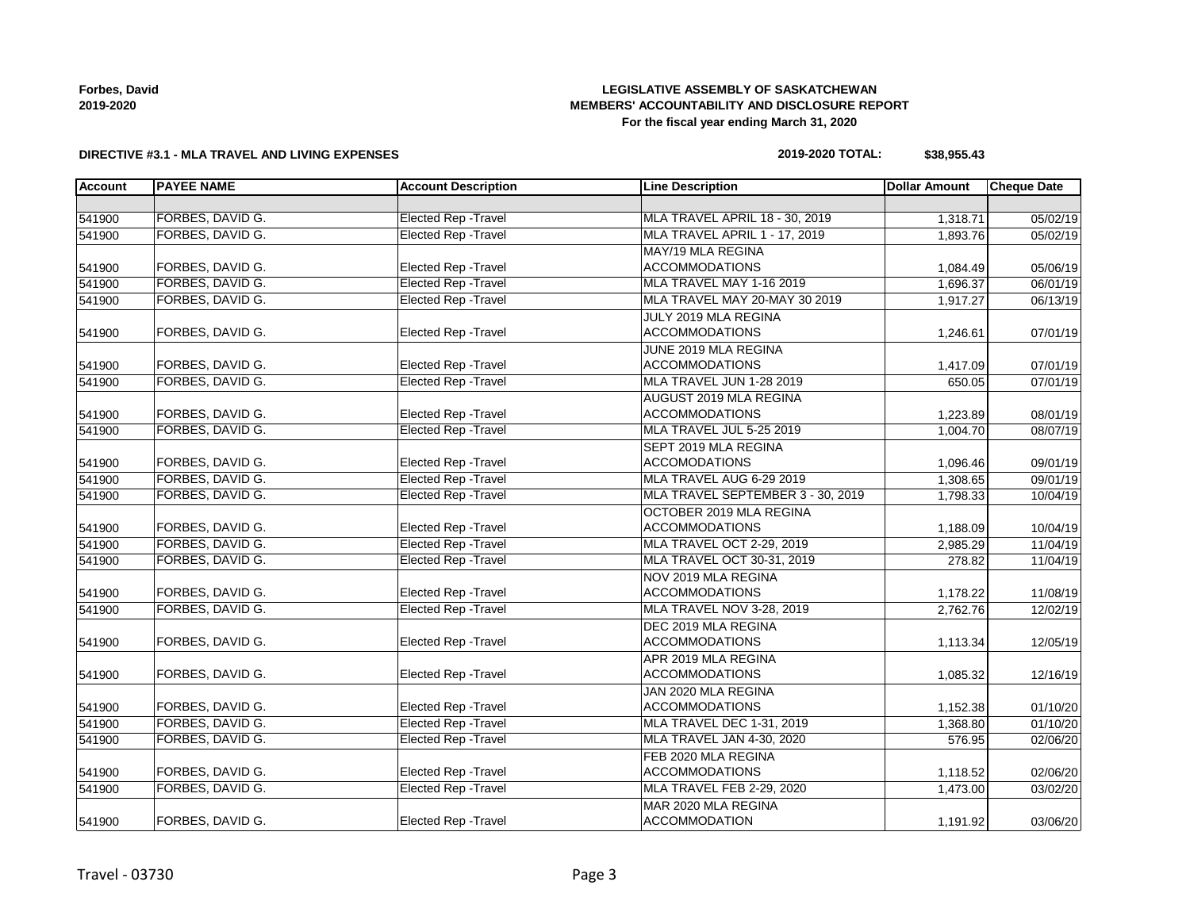## **LEGISLATIVE ASSEMBLY OF SASKATCHEWAN MEMBERS' ACCOUNTABILITY AND DISCLOSURE REPORT For the fiscal year ending March 31, 2020**

### **DIRECTIVE #3.1 - MLA TRAVEL AND LIVING EXPENSES**

#### **2019-2020 TOTAL: \$38,955.43**

| <b>Account</b> | <b>PAYEE NAME</b> | <b>Account Description</b>  | <b>Line Description</b>           | <b>Dollar Amount</b> | <b>Cheque Date</b> |
|----------------|-------------------|-----------------------------|-----------------------------------|----------------------|--------------------|
|                |                   |                             |                                   |                      |                    |
| 541900         | FORBES, DAVID G.  | <b>Elected Rep - Travel</b> | MLA TRAVEL APRIL 18 - 30, 2019    | 1,318.71             | 05/02/19           |
| 541900         | FORBES, DAVID G.  | <b>Elected Rep - Travel</b> | MLA TRAVEL APRIL 1 - 17, 2019     | 1,893.76             | 05/02/19           |
|                |                   |                             | MAY/19 MLA REGINA                 |                      |                    |
| 541900         | FORBES, DAVID G.  | <b>Elected Rep - Travel</b> | <b>ACCOMMODATIONS</b>             | 1,084.49             | 05/06/19           |
| 541900         | FORBES, DAVID G.  | <b>Elected Rep - Travel</b> | MLA TRAVEL MAY 1-16 2019          | 1,696.37             | 06/01/19           |
| 541900         | FORBES, DAVID G.  | <b>Elected Rep - Travel</b> | MLA TRAVEL MAY 20-MAY 30 2019     | 1,917.27             | 06/13/19           |
|                |                   |                             | JULY 2019 MLA REGINA              |                      |                    |
| 541900         | FORBES, DAVID G.  | <b>Elected Rep - Travel</b> | <b>ACCOMMODATIONS</b>             | 1,246.61             | 07/01/19           |
|                |                   |                             | JUNE 2019 MLA REGINA              |                      |                    |
| 541900         | FORBES, DAVID G.  | <b>Elected Rep - Travel</b> | <b>ACCOMMODATIONS</b>             | 1,417.09             | 07/01/19           |
| 541900         | FORBES, DAVID G.  | <b>Elected Rep - Travel</b> | MLA TRAVEL JUN 1-28 2019          | 650.05               | 07/01/19           |
|                |                   |                             | AUGUST 2019 MLA REGINA            |                      |                    |
| 541900         | FORBES, DAVID G.  | Elected Rep - Travel        | <b>ACCOMMODATIONS</b>             | 1,223.89             | 08/01/19           |
| 541900         | FORBES, DAVID G.  | <b>Elected Rep - Travel</b> | MLA TRAVEL JUL 5-25 2019          | 1,004.70             | 08/07/19           |
|                |                   |                             | SEPT 2019 MLA REGINA              |                      |                    |
| 541900         | FORBES, DAVID G.  | <b>Elected Rep - Travel</b> | <b>ACCOMODATIONS</b>              | 1,096.46             | 09/01/19           |
| 541900         | FORBES, DAVID G.  | <b>Elected Rep - Travel</b> | MLA TRAVEL AUG 6-29 2019          | 1,308.65             | 09/01/19           |
| 541900         | FORBES, DAVID G.  | <b>Elected Rep - Travel</b> | MLA TRAVEL SEPTEMBER 3 - 30, 2019 | 1,798.33             | 10/04/19           |
|                |                   |                             | OCTOBER 2019 MLA REGINA           |                      |                    |
| 541900         | FORBES, DAVID G.  | Elected Rep - Travel        | <b>ACCOMMODATIONS</b>             | 1,188.09             | 10/04/19           |
| 541900         | FORBES, DAVID G.  | <b>Elected Rep - Travel</b> | MLA TRAVEL OCT 2-29, 2019         | 2,985.29             | 11/04/19           |
| 541900         | FORBES, DAVID G.  | <b>Elected Rep - Travel</b> | MLA TRAVEL OCT 30-31, 2019        | 278.82               | 11/04/19           |
|                |                   |                             | NOV 2019 MLA REGINA               |                      |                    |
| 541900         | FORBES, DAVID G.  | Elected Rep - Travel        | <b>ACCOMMODATIONS</b>             | 1,178.22             | 11/08/19           |
| 541900         | FORBES, DAVID G.  | <b>Elected Rep - Travel</b> | MLA TRAVEL NOV 3-28, 2019         | 2,762.76             | 12/02/19           |
|                |                   |                             | DEC 2019 MLA REGINA               |                      |                    |
| 541900         | FORBES, DAVID G.  | Elected Rep - Travel        | <b>ACCOMMODATIONS</b>             | 1,113.34             | 12/05/19           |
|                |                   |                             | APR 2019 MLA REGINA               |                      |                    |
| 541900         | FORBES, DAVID G.  | Elected Rep - Travel        | <b>ACCOMMODATIONS</b>             | 1,085.32             | 12/16/19           |
|                |                   |                             | JAN 2020 MLA REGINA               |                      |                    |
| 541900         | FORBES, DAVID G.  | <b>Elected Rep - Travel</b> | <b>ACCOMMODATIONS</b>             | 1,152.38             | 01/10/20           |
| 541900         | FORBES, DAVID G.  | <b>Elected Rep - Travel</b> | MLA TRAVEL DEC 1-31, 2019         | 1,368.80             | 01/10/20           |
| 541900         | FORBES, DAVID G.  | <b>Elected Rep - Travel</b> | MLA TRAVEL JAN 4-30, 2020         | 576.95               | 02/06/20           |
|                |                   |                             | FEB 2020 MLA REGINA               |                      |                    |
| 541900         | FORBES, DAVID G.  | Elected Rep - Travel        | <b>ACCOMMODATIONS</b>             | 1,118.52             | 02/06/20           |
| 541900         | FORBES, DAVID G.  | <b>Elected Rep - Travel</b> | MLA TRAVEL FEB 2-29, 2020         | 1,473.00             | 03/02/20           |
|                |                   |                             | MAR 2020 MLA REGINA               |                      |                    |
| 541900         | FORBES, DAVID G.  | Elected Rep - Travel        | <b>ACCOMMODATION</b>              | 1,191.92             | 03/06/20           |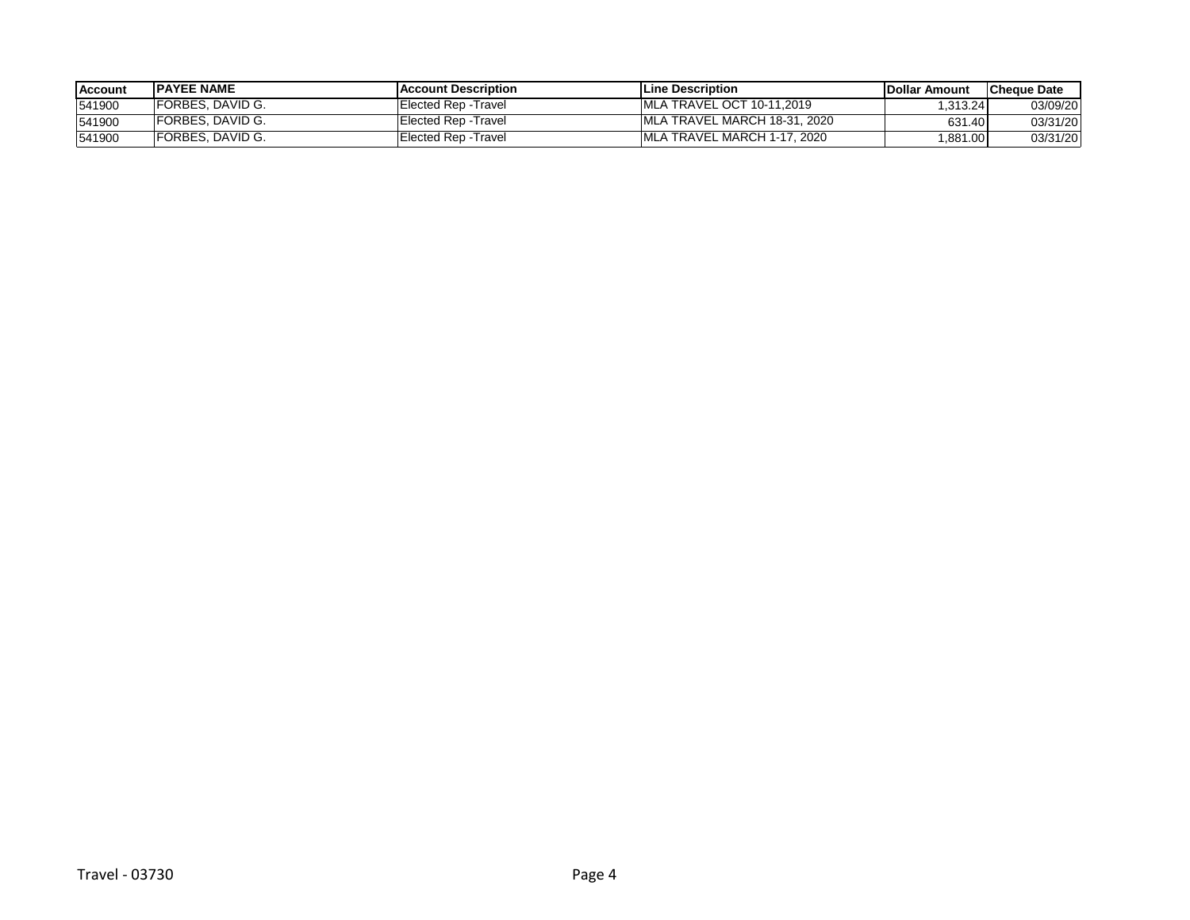| <b>Account</b> | <b>IPAYEE NAME</b>       | <b>IAccount Description</b> | <b>ILine Description</b>          | <b>IDollar Amount</b> | <b>ICheque Date</b> |
|----------------|--------------------------|-----------------------------|-----------------------------------|-----------------------|---------------------|
| 541900         | <b>FORBES, DAVID G.</b>  | Elected Rep -Travel         | <b>IMLA TRAVEL OCT 10-11.2019</b> | .313.24               | 03/09/20            |
| 541900         | <b>FORBES, DAVID G.</b>  | Elected Rep -Travel         | IMLA TRAVEL MARCH 18-31, 2020     | 631.40                | 03/31/20            |
| 541900         | <b>IFORBES, DAVID G.</b> | Elected Rep -Travel         | IMLA TRAVEL MARCH 1-17, 2020      | ,881.00               | 03/31/20            |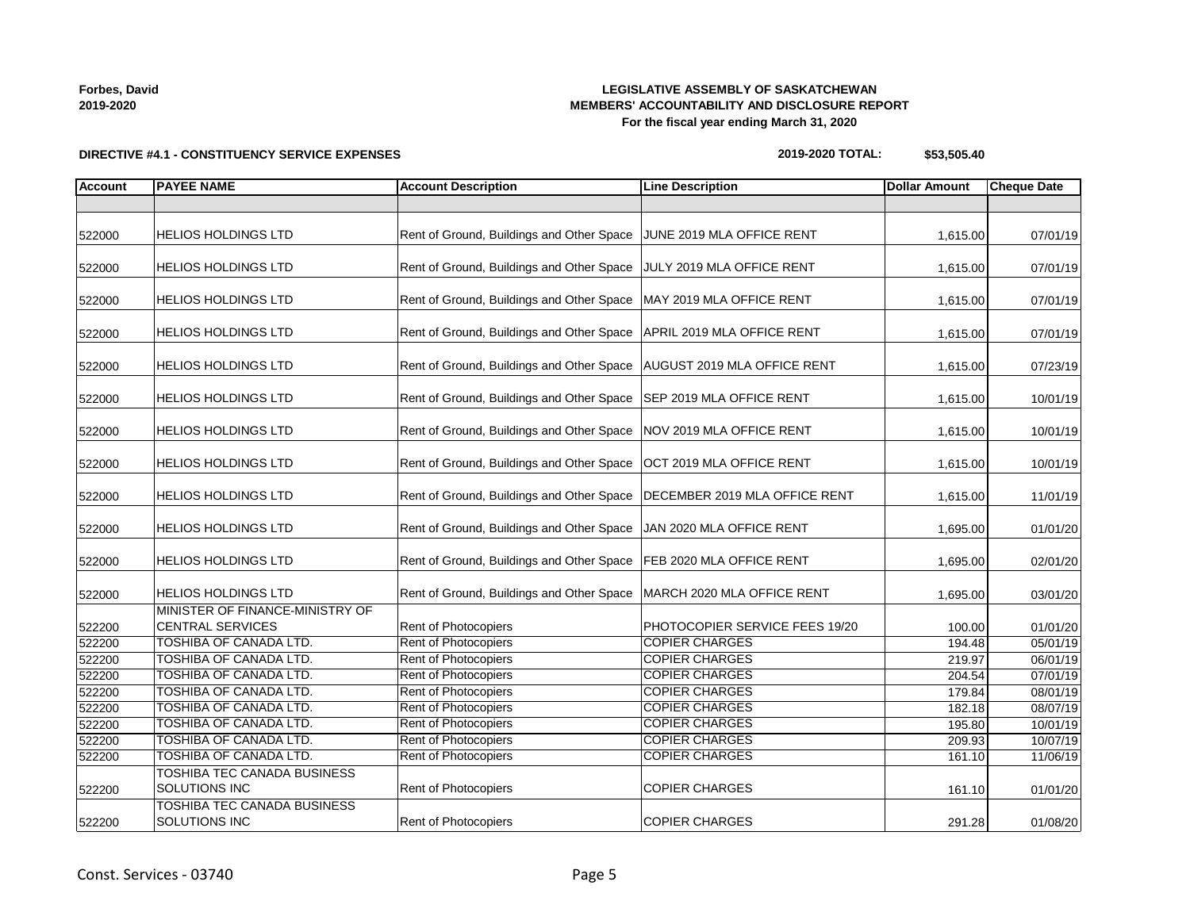| <b>Forbes, David</b> |  |
|----------------------|--|
| 2019-2020            |  |

## **LEGISLATIVE ASSEMBLY OF SASKATCHEWAN MEMBERS' ACCOUNTABILITY AND DISCLOSURE REPORT For the fiscal year ending March 31, 2020**

**DIRECTIVE #4.1 - CONSTITUENCY SERVICE EXPENSES**

| IEMBERS' ACCOUNTABILITY AND DISCLOSURE REPORT |
|-----------------------------------------------|
| For the fiscal year ending March 31, 2020     |

**2019-2020 TOTAL: \$53,505.40**

| <b>Account</b> | <b>PAYEE NAME</b>                                              | <b>Account Description</b>                   | <b>Line Description</b>                        | <b>Dollar Amount</b> | <b>Cheque Date</b>   |
|----------------|----------------------------------------------------------------|----------------------------------------------|------------------------------------------------|----------------------|----------------------|
|                |                                                                |                                              |                                                |                      |                      |
| 522000         | <b>HELIOS HOLDINGS LTD</b>                                     | Rent of Ground, Buildings and Other Space    | JUNE 2019 MLA OFFICE RENT                      | 1,615.00             | 07/01/19             |
| 522000         | <b>HELIOS HOLDINGS LTD</b>                                     | Rent of Ground, Buildings and Other Space    | JULY 2019 MLA OFFICE RENT                      | 1,615.00             | 07/01/19             |
| 522000         | <b>HELIOS HOLDINGS LTD</b>                                     | Rent of Ground, Buildings and Other Space    | MAY 2019 MLA OFFICE RENT                       | 1,615.00             | 07/01/19             |
| 522000         | <b>HELIOS HOLDINGS LTD</b>                                     | Rent of Ground, Buildings and Other Space    | APRIL 2019 MLA OFFICE RENT                     | 1,615.00             | 07/01/19             |
| 522000         | <b>HELIOS HOLDINGS LTD</b>                                     | Rent of Ground, Buildings and Other Space    | AUGUST 2019 MLA OFFICE RENT                    | 1,615.00             | 07/23/19             |
| 522000         | <b>HELIOS HOLDINGS LTD</b>                                     | Rent of Ground, Buildings and Other Space    | <b>SEP 2019 MLA OFFICE RENT</b>                | 1,615.00             | 10/01/19             |
| 522000         | <b>HELIOS HOLDINGS LTD</b>                                     | Rent of Ground, Buildings and Other Space    | NOV 2019 MLA OFFICE RENT                       | 1,615.00             | 10/01/19             |
| 522000         | <b>HELIOS HOLDINGS LTD</b>                                     | Rent of Ground, Buildings and Other Space    | OCT 2019 MLA OFFICE RENT                       | 1,615.00             | 10/01/19             |
| 522000         | <b>HELIOS HOLDINGS LTD</b>                                     | Rent of Ground, Buildings and Other Space    | DECEMBER 2019 MLA OFFICE RENT                  | 1,615.00             | 11/01/19             |
| 522000         | <b>HELIOS HOLDINGS LTD</b>                                     | Rent of Ground, Buildings and Other Space    | JAN 2020 MLA OFFICE RENT                       | 1,695.00             | 01/01/20             |
| 522000         | <b>HELIOS HOLDINGS LTD</b>                                     | Rent of Ground, Buildings and Other Space    | FEB 2020 MLA OFFICE RENT                       | 1,695.00             | 02/01/20             |
| 522000         | <b>HELIOS HOLDINGS LTD</b>                                     | Rent of Ground, Buildings and Other Space    | MARCH 2020 MLA OFFICE RENT                     | 1,695.00             | 03/01/20             |
| 522200         | MINISTER OF FINANCE-MINISTRY OF<br><b>CENTRAL SERVICES</b>     | Rent of Photocopiers                         | PHOTOCOPIER SERVICE FEES 19/20                 | 100.00               | 01/01/20             |
| 522200         | <b>TOSHIBA OF CANADA LTD.</b>                                  | Rent of Photocopiers                         | <b>COPIER CHARGES</b>                          | 194.48               | 05/01/19             |
| 522200         | TOSHIBA OF CANADA LTD.                                         | Rent of Photocopiers                         | <b>COPIER CHARGES</b>                          | 219.97               | 06/01/19             |
| 522200         | TOSHIBA OF CANADA LTD.                                         | Rent of Photocopiers                         | <b>COPIER CHARGES</b>                          | 204.54               | 07/01/19             |
| 522200         | TOSHIBA OF CANADA LTD.                                         | Rent of Photocopiers                         | <b>COPIER CHARGES</b>                          | 179.84               | 08/01/19             |
| 522200         | <b>TOSHIBA OF CANADA LTD.</b><br><b>TOSHIBA OF CANADA LTD.</b> | Rent of Photocopiers<br>Rent of Photocopiers | <b>COPIER CHARGES</b><br><b>COPIER CHARGES</b> | 182.18               | 08/07/19             |
| 522200         | <b>TOSHIBA OF CANADA LTD.</b>                                  | Rent of Photocopiers                         | <b>COPIER CHARGES</b>                          | 195.80               | 10/01/19<br>10/07/19 |
| 522200         | TOSHIBA OF CANADA LTD.                                         | Rent of Photocopiers                         | <b>COPIER CHARGES</b>                          | 209.93<br>161.10     |                      |
| 522200         | <b>TOSHIBA TEC CANADA BUSINESS</b>                             |                                              |                                                |                      | 11/06/19             |
| 522200         | SOLUTIONS INC                                                  | Rent of Photocopiers                         | <b>COPIER CHARGES</b>                          | 161.10               | 01/01/20             |
| 522200         | <b>TOSHIBA TEC CANADA BUSINESS</b><br>SOLUTIONS INC            | <b>Rent of Photocopiers</b>                  | <b>COPIER CHARGES</b>                          | 291.28               | 01/08/20             |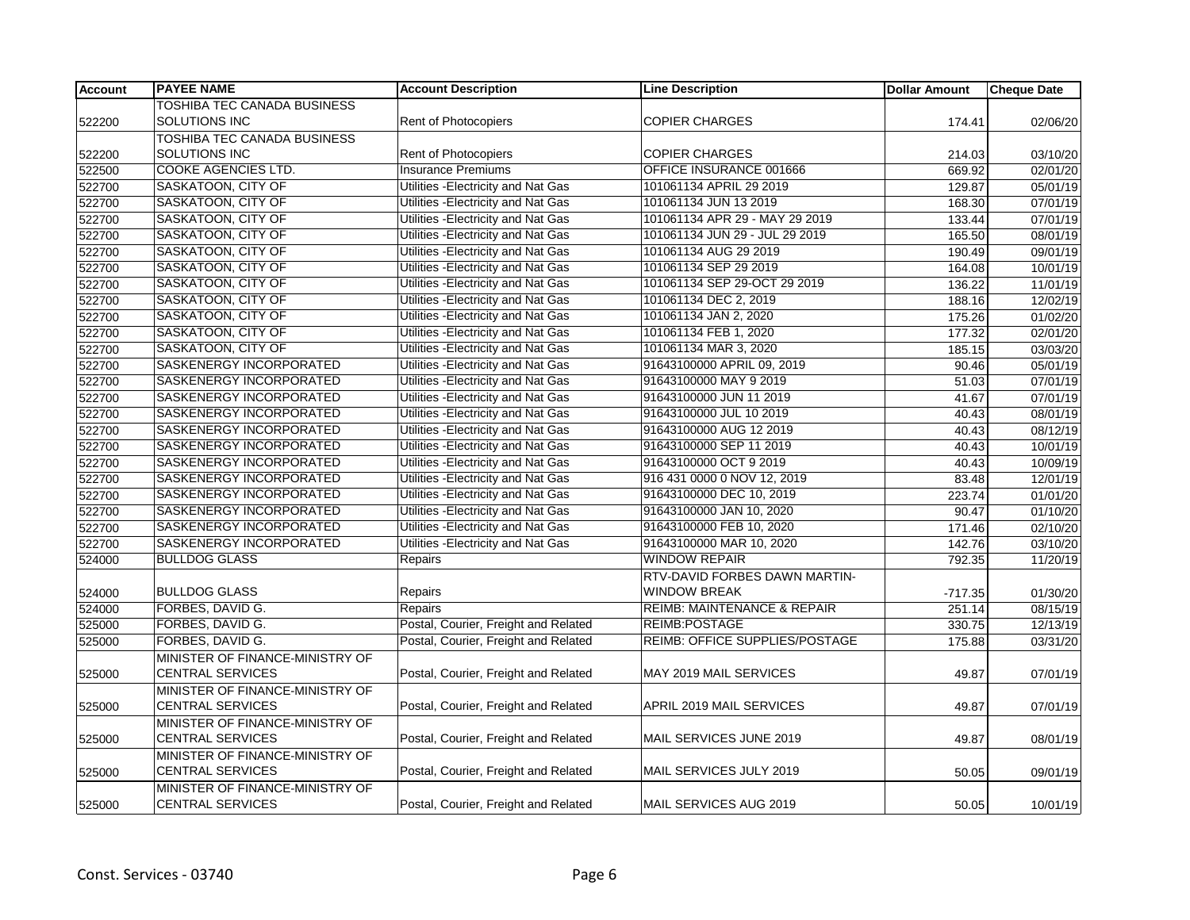| <b>Account</b> | <b>PAYEE NAME</b>               | <b>Account Description</b>           | <b>Line Description</b>                | <b>Dollar Amount</b> | <b>Cheque Date</b> |
|----------------|---------------------------------|--------------------------------------|----------------------------------------|----------------------|--------------------|
|                | TOSHIBA TEC CANADA BUSINESS     |                                      |                                        |                      |                    |
| 522200         | SOLUTIONS INC                   | Rent of Photocopiers                 | <b>COPIER CHARGES</b>                  | 174.41               | 02/06/20           |
|                | TOSHIBA TEC CANADA BUSINESS     |                                      |                                        |                      |                    |
| 522200         | <b>SOLUTIONS INC</b>            | <b>Rent of Photocopiers</b>          | <b>COPIER CHARGES</b>                  | 214.03               | 03/10/20           |
| 522500         | <b>COOKE AGENCIES LTD.</b>      | <b>Insurance Premiums</b>            | OFFICE INSURANCE 001666                | 669.92               | 02/01/20           |
| 522700         | SASKATOON, CITY OF              | Utilities - Electricity and Nat Gas  | 101061134 APRIL 29 2019                | 129.87               | 05/01/19           |
| 522700         | <b>SASKATOON, CITY OF</b>       | Utilities - Electricity and Nat Gas  | 101061134 JUN 13 2019                  | 168.30               | 07/01/19           |
| 522700         | SASKATOON, CITY OF              | Utilities - Electricity and Nat Gas  | 101061134 APR 29 - MAY 29 2019         | 133.44               | 07/01/19           |
| 522700         | SASKATOON, CITY OF              | Utilities - Electricity and Nat Gas  | 101061134 JUN 29 - JUL 29 2019         | 165.50               | 08/01/19           |
| 522700         | <b>SASKATOON, CITY OF</b>       | Utilities - Electricity and Nat Gas  | 101061134 AUG 29 2019                  | 190.49               | 09/01/19           |
| 522700         | SASKATOON, CITY OF              | Utilities - Electricity and Nat Gas  | 101061134 SEP 29 2019                  | 164.08               | 10/01/19           |
| 522700         | SASKATOON, CITY OF              | Utilities - Electricity and Nat Gas  | 101061134 SEP 29-OCT 29 2019           | 136.22               | 11/01/19           |
| 522700         | <b>SASKATOON, CITY OF</b>       | Utilities - Electricity and Nat Gas  | 101061134 DEC 2, 2019                  | 188.16               | 12/02/19           |
| 522700         | SASKATOON, CITY OF              | Utilities - Electricity and Nat Gas  | 101061134 JAN 2, 2020                  | 175.26               | 01/02/20           |
| 522700         | SASKATOON, CITY OF              | Utilities - Electricity and Nat Gas  | 101061134 FEB 1, 2020                  | 177.32               | 02/01/20           |
| 522700         | <b>SASKATOON, CITY OF</b>       | Utilities - Electricity and Nat Gas  | 101061134 MAR 3, 2020                  | 185.15               | 03/03/20           |
| 522700         | SASKENERGY INCORPORATED         | Utilities - Electricity and Nat Gas  | 91643100000 APRIL 09, 2019             | 90.46                | 05/01/19           |
| 522700         | SASKENERGY INCORPORATED         | Utilities - Electricity and Nat Gas  | 91643100000 MAY 9 2019                 | 51.03                | 07/01/19           |
| 522700         | <b>SASKENERGY INCORPORATED</b>  | Utilities - Electricity and Nat Gas  | 91643100000 JUN 11 2019                | 41.67                | 07/01/19           |
| 522700         | SASKENERGY INCORPORATED         | Utilities - Electricity and Nat Gas  | 91643100000 JUL 10 2019                | 40.43                | 08/01/19           |
| 522700         | SASKENERGY INCORPORATED         | Utilities - Electricity and Nat Gas  | 91643100000 AUG 12 2019                | 40.43                | 08/12/19           |
| 522700         | SASKENERGY INCORPORATED         | Utilities - Electricity and Nat Gas  | 91643100000 SEP 11 2019                | 40.43                | 10/01/19           |
| 522700         | SASKENERGY INCORPORATED         | Utilities - Electricity and Nat Gas  | 91643100000 OCT 9 2019                 | 40.43                | 10/09/19           |
| 522700         | <b>SASKENERGY INCORPORATED</b>  | Utilities - Electricity and Nat Gas  | 916 431 0000 0 NOV 12, 2019            | 83.48                | 12/01/19           |
| 522700         | SASKENERGY INCORPORATED         | Utilities - Electricity and Nat Gas  | 91643100000 DEC 10, 2019               | 223.74               | 01/01/20           |
| 522700         | SASKENERGY INCORPORATED         | Utilities - Electricity and Nat Gas  | 91643100000 JAN 10, 2020               | 90.47                | 01/10/20           |
| 522700         | SASKENERGY INCORPORATED         | Utilities - Electricity and Nat Gas  | 91643100000 FEB 10, 2020               | 171.46               | 02/10/20           |
| 522700         | SASKENERGY INCORPORATED         | Utilities - Electricity and Nat Gas  | 91643100000 MAR 10, 2020               | 142.76               | 03/10/20           |
| 524000         | <b>BULLDOG GLASS</b>            | Repairs                              | <b>WINDOW REPAIR</b>                   | 792.35               | 11/20/19           |
|                |                                 |                                      | RTV-DAVID FORBES DAWN MARTIN-          |                      |                    |
| 524000         | <b>BULLDOG GLASS</b>            | Repairs                              | <b>WINDOW BREAK</b>                    | $-717.35$            | 01/30/20           |
| 524000         | FORBES, DAVID G.                | Repairs                              | <b>REIMB: MAINTENANCE &amp; REPAIR</b> | 251.14               | 08/15/19           |
| 525000         | FORBES, DAVID G.                | Postal, Courier, Freight and Related | <b>REIMB:POSTAGE</b>                   | 330.75               | 12/13/19           |
| 525000         | FORBES, DAVID G.                | Postal, Courier, Freight and Related | REIMB: OFFICE SUPPLIES/POSTAGE         | 175.88               | 03/31/20           |
|                | MINISTER OF FINANCE-MINISTRY OF |                                      |                                        |                      |                    |
| 525000         | <b>CENTRAL SERVICES</b>         | Postal, Courier, Freight and Related | MAY 2019 MAIL SERVICES                 | 49.87                | 07/01/19           |
|                | MINISTER OF FINANCE-MINISTRY OF |                                      |                                        |                      |                    |
| 525000         | <b>CENTRAL SERVICES</b>         | Postal, Courier, Freight and Related | APRIL 2019 MAIL SERVICES               | 49.87                | 07/01/19           |
|                | MINISTER OF FINANCE-MINISTRY OF |                                      |                                        |                      |                    |
| 525000         | <b>CENTRAL SERVICES</b>         | Postal, Courier, Freight and Related | MAIL SERVICES JUNE 2019                | 49.87                | 08/01/19           |
|                | MINISTER OF FINANCE-MINISTRY OF |                                      |                                        |                      |                    |
| 525000         | <b>CENTRAL SERVICES</b>         | Postal, Courier, Freight and Related | MAIL SERVICES JULY 2019                | 50.05                | 09/01/19           |
|                | MINISTER OF FINANCE-MINISTRY OF |                                      |                                        |                      |                    |
| 525000         | <b>CENTRAL SERVICES</b>         | Postal, Courier, Freight and Related | MAIL SERVICES AUG 2019                 | 50.05                | 10/01/19           |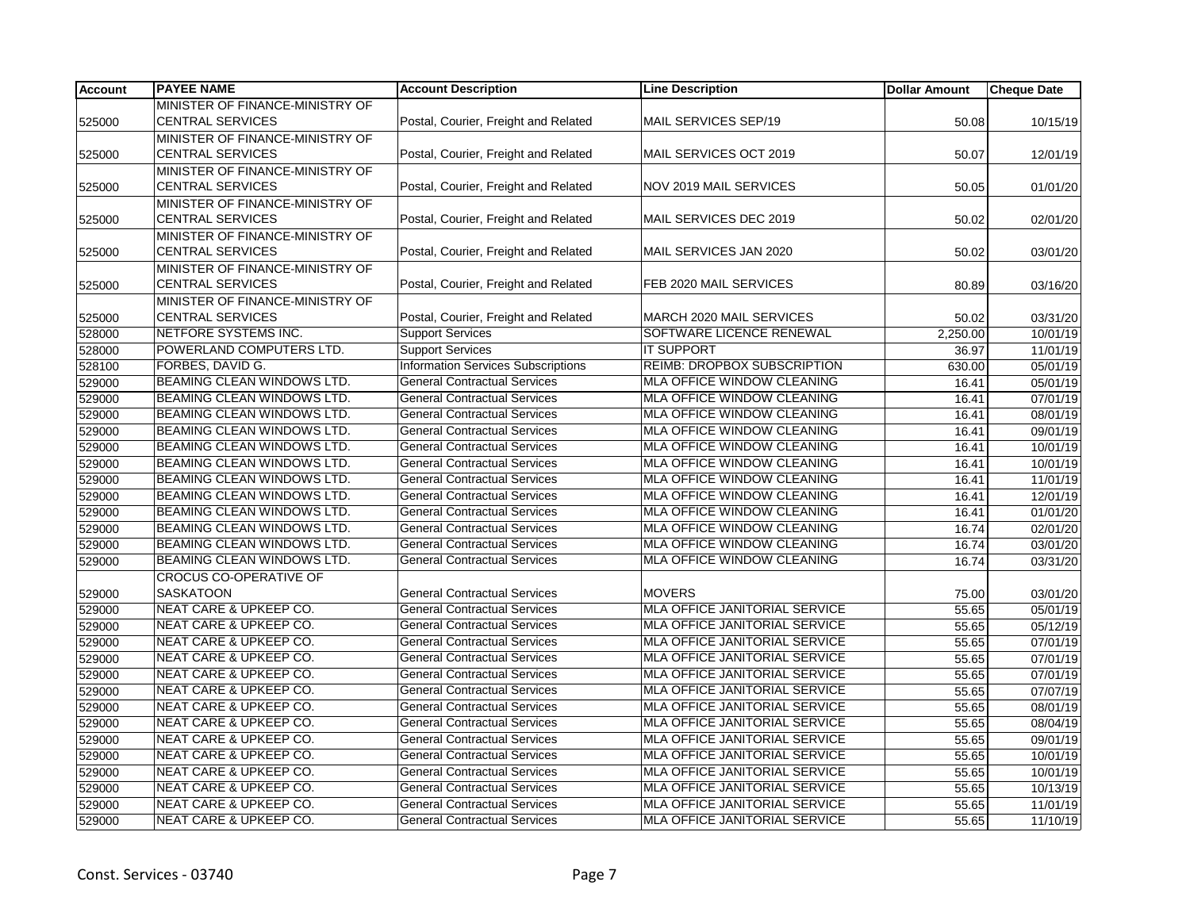| <b>Account</b> | <b>PAYEE NAME</b>                 | <b>Account Description</b>                | <b>Line Description</b>              | <b>Dollar Amount</b> | <b>Cheque Date</b>    |
|----------------|-----------------------------------|-------------------------------------------|--------------------------------------|----------------------|-----------------------|
|                | MINISTER OF FINANCE-MINISTRY OF   |                                           |                                      |                      |                       |
| 525000         | <b>CENTRAL SERVICES</b>           | Postal, Courier, Freight and Related      | MAIL SERVICES SEP/19                 | 50.08                | 10/15/19              |
|                | MINISTER OF FINANCE-MINISTRY OF   |                                           |                                      |                      |                       |
| 525000         | <b>CENTRAL SERVICES</b>           | Postal, Courier, Freight and Related      | MAIL SERVICES OCT 2019               | 50.07                | 12/01/19              |
|                | MINISTER OF FINANCE-MINISTRY OF   |                                           |                                      |                      |                       |
| 525000         | <b>CENTRAL SERVICES</b>           | Postal, Courier, Freight and Related      | <b>NOV 2019 MAIL SERVICES</b>        | 50.05                | 01/01/20              |
|                | MINISTER OF FINANCE-MINISTRY OF   |                                           |                                      |                      |                       |
| 525000         | <b>CENTRAL SERVICES</b>           | Postal, Courier, Freight and Related      | MAIL SERVICES DEC 2019               | 50.02                | 02/01/20              |
|                | MINISTER OF FINANCE-MINISTRY OF   |                                           |                                      |                      |                       |
| 525000         | <b>CENTRAL SERVICES</b>           | Postal, Courier, Freight and Related      | MAIL SERVICES JAN 2020               | 50.02                | 03/01/20              |
|                | MINISTER OF FINANCE-MINISTRY OF   |                                           |                                      |                      |                       |
| 525000         | <b>CENTRAL SERVICES</b>           | Postal, Courier, Freight and Related      | FEB 2020 MAIL SERVICES               | 80.89                | 03/16/20              |
|                | MINISTER OF FINANCE-MINISTRY OF   |                                           |                                      |                      |                       |
| 525000         | <b>CENTRAL SERVICES</b>           | Postal, Courier, Freight and Related      | MARCH 2020 MAIL SERVICES             | 50.02                | 03/31/20              |
| 528000         | NETFORE SYSTEMS INC.              | <b>Support Services</b>                   | SOFTWARE LICENCE RENEWAL             | 2,250.00             | 10/01/19              |
| 528000         | POWERLAND COMPUTERS LTD.          | <b>Support Services</b>                   | <b>IT SUPPORT</b>                    | 36.97                | 11/01/19              |
| 528100         | FORBES, DAVID G.                  | <b>Information Services Subscriptions</b> | REIMB: DROPBOX SUBSCRIPTION          | 630.00               | 05/01/19              |
| 529000         | BEAMING CLEAN WINDOWS LTD.        | <b>General Contractual Services</b>       | MLA OFFICE WINDOW CLEANING           | 16.41                | 05/01/19              |
| 529000         | BEAMING CLEAN WINDOWS LTD.        | <b>General Contractual Services</b>       | <b>MLA OFFICE WINDOW CLEANING</b>    | 16.41                | 07/01/19              |
| 529000         | BEAMING CLEAN WINDOWS LTD.        | <b>General Contractual Services</b>       | MLA OFFICE WINDOW CLEANING           | 16.41                | 08/01/19              |
| 529000         | BEAMING CLEAN WINDOWS LTD.        | <b>General Contractual Services</b>       | MLA OFFICE WINDOW CLEANING           | 16.41                | 09/01/19              |
| 529000         | BEAMING CLEAN WINDOWS LTD.        | <b>General Contractual Services</b>       | MLA OFFICE WINDOW CLEANING           | 16.41                | 10/01/19              |
| 529000         | BEAMING CLEAN WINDOWS LTD.        | <b>General Contractual Services</b>       | MLA OFFICE WINDOW CLEANING           | 16.41                | 10/01/19              |
| 529000         | BEAMING CLEAN WINDOWS LTD.        | <b>General Contractual Services</b>       | MLA OFFICE WINDOW CLEANING           | 16.41                | 11/01/19              |
| 529000         | BEAMING CLEAN WINDOWS LTD.        | <b>General Contractual Services</b>       | MLA OFFICE WINDOW CLEANING           | 16.41                | 12/01/19              |
| 529000         | BEAMING CLEAN WINDOWS LTD.        | <b>General Contractual Services</b>       | MLA OFFICE WINDOW CLEANING           | 16.41                | 01/01/20              |
| 529000         | BEAMING CLEAN WINDOWS LTD.        | <b>General Contractual Services</b>       | MLA OFFICE WINDOW CLEANING           | 16.74                | 02/01/20              |
| 529000         | BEAMING CLEAN WINDOWS LTD.        | <b>General Contractual Services</b>       | MLA OFFICE WINDOW CLEANING           | 16.74                | 03/01/20              |
| 529000         | BEAMING CLEAN WINDOWS LTD.        | <b>General Contractual Services</b>       | <b>MLA OFFICE WINDOW CLEANING</b>    | 16.74                | 03/31/20              |
|                | <b>CROCUS CO-OPERATIVE OF</b>     |                                           |                                      |                      |                       |
| 529000         | <b>SASKATOON</b>                  | <b>General Contractual Services</b>       | <b>MOVERS</b>                        | 75.00                | 03/01/20              |
| 529000         | <b>NEAT CARE &amp; UPKEEP CO.</b> | <b>General Contractual Services</b>       | MLA OFFICE JANITORIAL SERVICE        | 55.65                | 05/01/19              |
| 529000         | <b>NEAT CARE &amp; UPKEEP CO.</b> | <b>General Contractual Services</b>       | MLA OFFICE JANITORIAL SERVICE        | 55.65                | 05/12/19              |
| 529000         | <b>NEAT CARE &amp; UPKEEP CO.</b> | <b>General Contractual Services</b>       | MLA OFFICE JANITORIAL SERVICE        | 55.65                | 07/01/19              |
| 529000         | <b>NEAT CARE &amp; UPKEEP CO.</b> | <b>General Contractual Services</b>       | MLA OFFICE JANITORIAL SERVICE        | 55.65                | $\overline{07/01/19}$ |
| 529000         | NEAT CARE & UPKEEP CO.            | <b>General Contractual Services</b>       | MLA OFFICE JANITORIAL SERVICE        | 55.65                | 07/01/19              |
| 529000         | <b>NEAT CARE &amp; UPKEEP CO.</b> | <b>General Contractual Services</b>       | MLA OFFICE JANITORIAL SERVICE        | 55.65                | 07/07/19              |
| 529000         | NEAT CARE & UPKEEP CO.            | <b>General Contractual Services</b>       | MLA OFFICE JANITORIAL SERVICE        | 55.65                | 08/01/19              |
| 529000         | NEAT CARE & UPKEEP CO.            | <b>General Contractual Services</b>       | MLA OFFICE JANITORIAL SERVICE        | 55.65                | 08/04/19              |
| 529000         | <b>NEAT CARE &amp; UPKEEP CO.</b> | <b>General Contractual Services</b>       | MLA OFFICE JANITORIAL SERVICE        | 55.65                | 09/01/19              |
| 529000         | <b>NEAT CARE &amp; UPKEEP CO.</b> | <b>General Contractual Services</b>       | <b>MLA OFFICE JANITORIAL SERVICE</b> | 55.65                | 10/01/19              |
| 529000         | <b>NEAT CARE &amp; UPKEEP CO.</b> | <b>General Contractual Services</b>       | <b>MLA OFFICE JANITORIAL SERVICE</b> | 55.65                | 10/01/19              |
| 529000         | <b>NEAT CARE &amp; UPKEEP CO.</b> | <b>General Contractual Services</b>       | MLA OFFICE JANITORIAL SERVICE        | 55.65                | 10/13/19              |
| 529000         | NEAT CARE & UPKEEP CO.            | <b>General Contractual Services</b>       | MLA OFFICE JANITORIAL SERVICE        | 55.65                | 11/01/19              |
| 529000         | <b>NEAT CARE &amp; UPKEEP CO.</b> | <b>General Contractual Services</b>       | <b>MLA OFFICE JANITORIAL SERVICE</b> | 55.65                | 11/10/19              |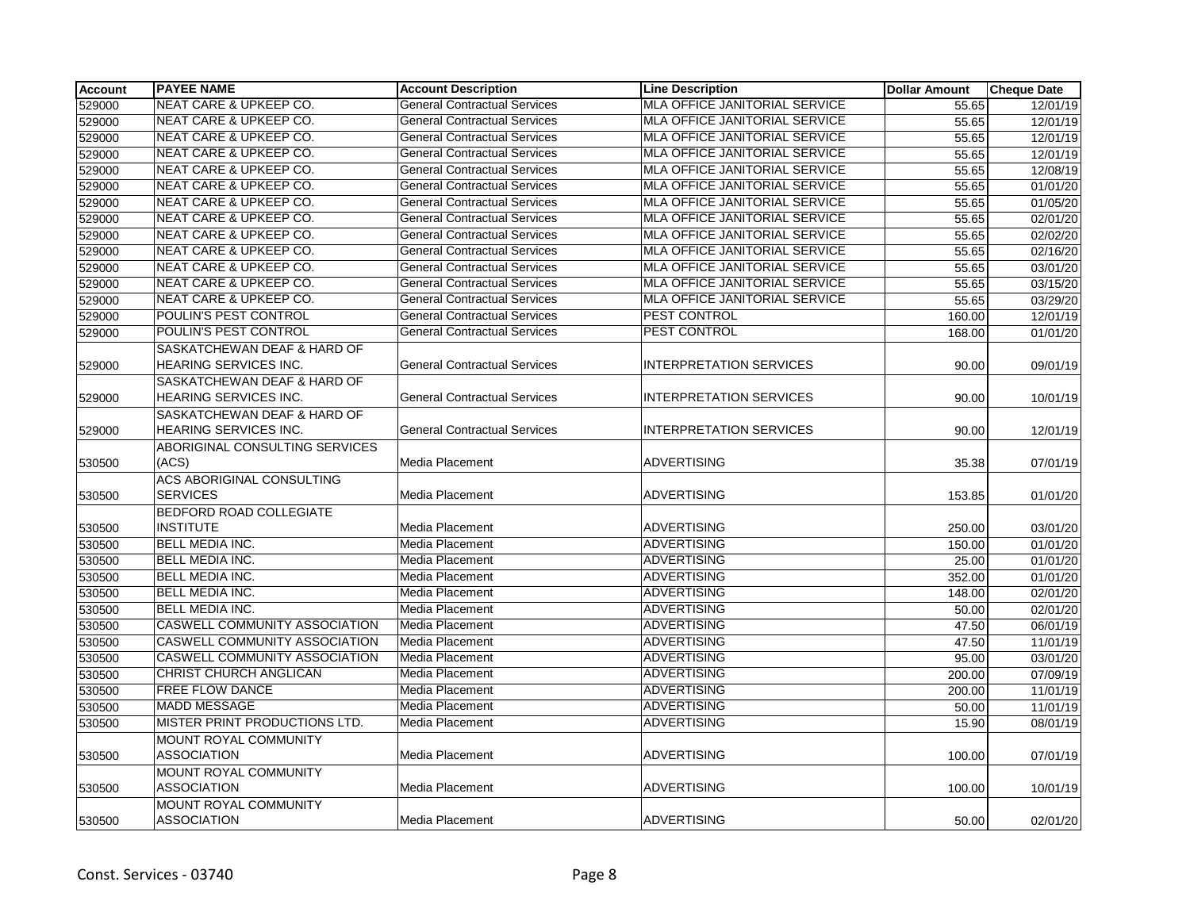| Account | <b>PAYEE NAME</b>                    | <b>Account Description</b>          | <b>Line Description</b>              | <b>Dollar Amount</b> | <b>Cheque Date</b> |
|---------|--------------------------------------|-------------------------------------|--------------------------------------|----------------------|--------------------|
| 529000  | NEAT CARE & UPKEEP CO.               | <b>General Contractual Services</b> | <b>MLA OFFICE JANITORIAL SERVICE</b> | 55.65                | 12/01/19           |
| 529000  | <b>NEAT CARE &amp; UPKEEP CO.</b>    | <b>General Contractual Services</b> | MLA OFFICE JANITORIAL SERVICE        | 55.65                | 12/01/19           |
| 529000  | <b>NEAT CARE &amp; UPKEEP CO.</b>    | <b>General Contractual Services</b> | MLA OFFICE JANITORIAL SERVICE        | 55.65                | 12/01/19           |
| 529000  | <b>NEAT CARE &amp; UPKEEP CO.</b>    | <b>General Contractual Services</b> | MLA OFFICE JANITORIAL SERVICE        | 55.65                | 12/01/19           |
| 529000  | <b>NEAT CARE &amp; UPKEEP CO.</b>    | <b>General Contractual Services</b> | MLA OFFICE JANITORIAL SERVICE        | 55.65                | 12/08/19           |
| 529000  | <b>NEAT CARE &amp; UPKEEP CO.</b>    | <b>General Contractual Services</b> | MLA OFFICE JANITORIAL SERVICE        | 55.65                | 01/01/20           |
| 529000  | NEAT CARE & UPKEEP CO.               | General Contractual Services        | MLA OFFICE JANITORIAL SERVICE        | 55.65                | 01/05/20           |
| 529000  | <b>NEAT CARE &amp; UPKEEP CO.</b>    | <b>General Contractual Services</b> | MLA OFFICE JANITORIAL SERVICE        | 55.65                | 02/01/20           |
| 529000  | <b>NEAT CARE &amp; UPKEEP CO.</b>    | <b>General Contractual Services</b> | MLA OFFICE JANITORIAL SERVICE        | 55.65                | 02/02/20           |
| 529000  | <b>NEAT CARE &amp; UPKEEP CO.</b>    | <b>General Contractual Services</b> | MLA OFFICE JANITORIAL SERVICE        | 55.65                | 02/16/20           |
| 529000  | <b>NEAT CARE &amp; UPKEEP CO.</b>    | <b>General Contractual Services</b> | <b>MLA OFFICE JANITORIAL SERVICE</b> | 55.65                | 03/01/20           |
| 529000  | NEAT CARE & UPKEEP CO.               | <b>General Contractual Services</b> | MLA OFFICE JANITORIAL SERVICE        | 55.65                | 03/15/20           |
| 529000  | <b>NEAT CARE &amp; UPKEEP CO.</b>    | <b>General Contractual Services</b> | MLA OFFICE JANITORIAL SERVICE        | 55.65                | 03/29/20           |
| 529000  | POULIN'S PEST CONTROL                | <b>General Contractual Services</b> | PEST CONTROL                         | 160.00               | 12/01/19           |
| 529000  | POULIN'S PEST CONTROL                | <b>General Contractual Services</b> | PEST CONTROL                         | 168.00               | 01/01/20           |
|         | SASKATCHEWAN DEAF & HARD OF          |                                     |                                      |                      |                    |
| 529000  | HEARING SERVICES INC.                | <b>General Contractual Services</b> | <b>INTERPRETATION SERVICES</b>       | 90.00                | 09/01/19           |
|         | SASKATCHEWAN DEAF & HARD OF          |                                     |                                      |                      |                    |
| 529000  | HEARING SERVICES INC.                | <b>General Contractual Services</b> | <b>INTERPRETATION SERVICES</b>       | 90.00                | 10/01/19           |
|         | SASKATCHEWAN DEAF & HARD OF          |                                     |                                      |                      |                    |
| 529000  | <b>HEARING SERVICES INC.</b>         | <b>General Contractual Services</b> | <b>INTERPRETATION SERVICES</b>       | 90.00                | 12/01/19           |
|         | ABORIGINAL CONSULTING SERVICES       |                                     |                                      |                      |                    |
| 530500  | (ACS)                                | Media Placement                     | <b>ADVERTISING</b>                   | 35.38                | 07/01/19           |
|         | <b>ACS ABORIGINAL CONSULTING</b>     |                                     |                                      |                      |                    |
| 530500  | <b>SERVICES</b>                      | Media Placement                     | <b>ADVERTISING</b>                   | 153.85               | 01/01/20           |
|         | <b>BEDFORD ROAD COLLEGIATE</b>       |                                     |                                      |                      |                    |
| 530500  | <b>INSTITUTE</b>                     | Media Placement                     | <b>ADVERTISING</b>                   | 250.00               | 03/01/20           |
| 530500  | <b>BELL MEDIA INC.</b>               | Media Placement                     | <b>ADVERTISING</b>                   | 150.00               | 01/01/20           |
| 530500  | <b>BELL MEDIA INC.</b>               | Media Placement                     | <b>ADVERTISING</b>                   | 25.00                | 01/01/20           |
| 530500  | BELL MEDIA INC.                      | Media Placement                     | <b>ADVERTISING</b>                   | 352.00               | 01/01/20           |
| 530500  | <b>BELL MEDIA INC.</b>               | Media Placement                     | <b>ADVERTISING</b>                   | 148.00               | 02/01/20           |
| 530500  | <b>BELL MEDIA INC.</b>               | Media Placement                     | <b>ADVERTISING</b>                   | 50.00                | 02/01/20           |
| 530500  | <b>CASWELL COMMUNITY ASSOCIATION</b> | Media Placement                     | <b>ADVERTISING</b>                   | 47.50                | 06/01/19           |
| 530500  | <b>CASWELL COMMUNITY ASSOCIATION</b> | Media Placement                     | <b>ADVERTISING</b>                   | 47.50                | 11/01/19           |
| 530500  | <b>CASWELL COMMUNITY ASSOCIATION</b> | Media Placement                     | <b>ADVERTISING</b>                   | 95.00                | 03/01/20           |
| 530500  | CHRIST CHURCH ANGLICAN               | Media Placement                     | <b>ADVERTISING</b>                   | 200.00               | 07/09/19           |
| 530500  | <b>FREE FLOW DANCE</b>               | Media Placement                     | <b>ADVERTISING</b>                   | 200.00               | 11/01/19           |
| 530500  | <b>MADD MESSAGE</b>                  | Media Placement                     | <b>ADVERTISING</b>                   | 50.00                | 11/01/19           |
| 530500  | MISTER PRINT PRODUCTIONS LTD.        | Media Placement                     | <b>ADVERTISING</b>                   | 15.90                | 08/01/19           |
|         | <b>MOUNT ROYAL COMMUNITY</b>         |                                     |                                      |                      |                    |
| 530500  | <b>ASSOCIATION</b>                   | Media Placement                     | <b>ADVERTISING</b>                   | 100.00               | 07/01/19           |
|         | MOUNT ROYAL COMMUNITY                |                                     |                                      |                      |                    |
| 530500  | <b>ASSOCIATION</b>                   | Media Placement                     | <b>ADVERTISING</b>                   | 100.00               | 10/01/19           |
|         | MOUNT ROYAL COMMUNITY                |                                     |                                      |                      |                    |
| 530500  | <b>ASSOCIATION</b>                   | Media Placement                     | <b>ADVERTISING</b>                   | 50.00                | 02/01/20           |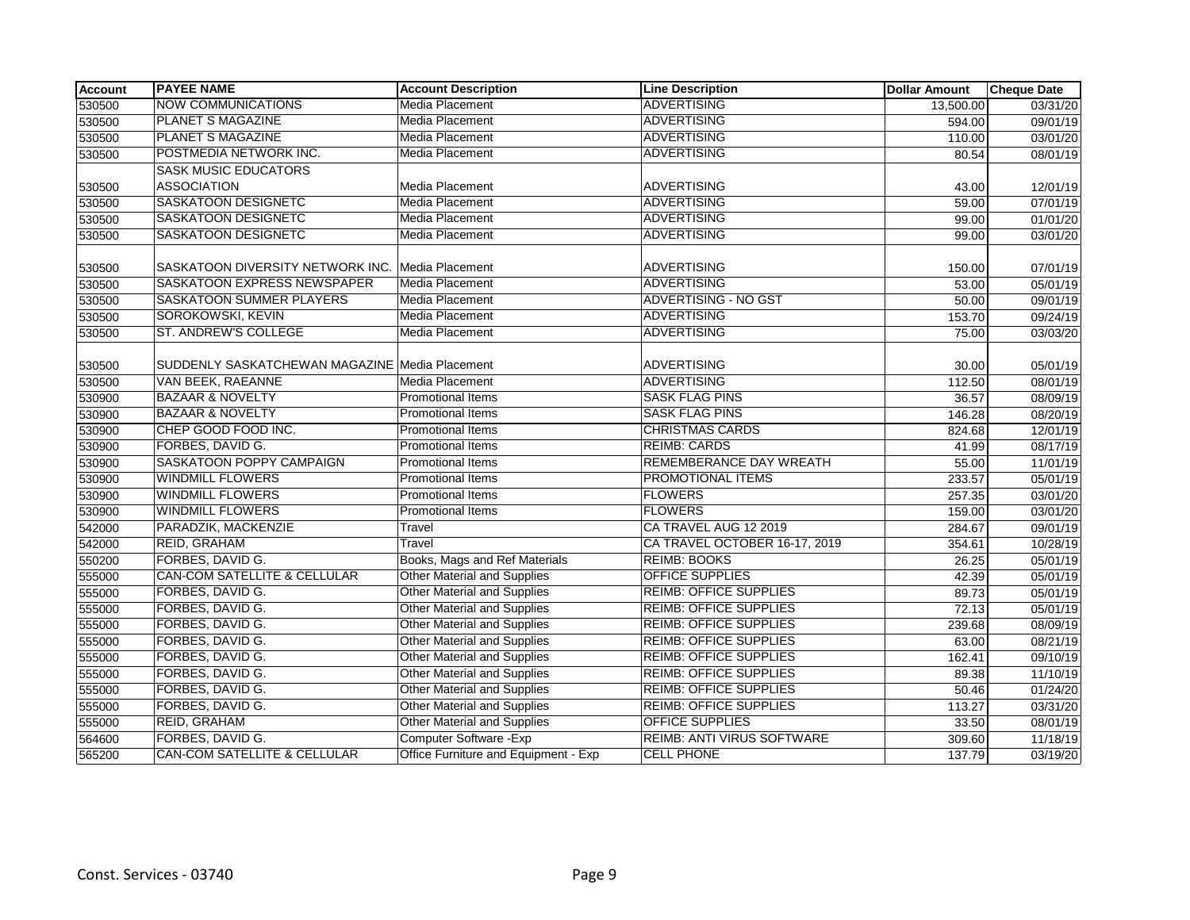| Account | <b>PAYEE NAME</b>                              | <b>Account Description</b>           | <b>Line Description</b>           | <b>Dollar Amount</b> | <b>Cheque Date</b> |
|---------|------------------------------------------------|--------------------------------------|-----------------------------------|----------------------|--------------------|
| 530500  | <b>NOW COMMUNICATIONS</b>                      | <b>Media Placement</b>               | <b>ADVERTISING</b>                | 13,500.00            | 03/31/20           |
| 530500  | <b>PLANET S MAGAZINE</b>                       | <b>Media Placement</b>               | ADVERTISING                       | 594.00               | 09/01/19           |
| 530500  | <b>PLANET S MAGAZINE</b>                       | Media Placement                      | <b>ADVERTISING</b>                | 110.00               | 03/01/20           |
| 530500  | POSTMEDIA NETWORK INC.                         | <b>Media Placement</b>               | <b>ADVERTISING</b>                | 80.54                | 08/01/19           |
|         | <b>SASK MUSIC EDUCATORS</b>                    |                                      |                                   |                      |                    |
| 530500  | <b>ASSOCIATION</b>                             | Media Placement                      | <b>ADVERTISING</b>                | 43.00                | 12/01/19           |
| 530500  | <b>SASKATOON DESIGNETC</b>                     | <b>Media Placement</b>               | <b>ADVERTISING</b>                | 59.00                | 07/01/19           |
| 530500  | SASKATOON DESIGNETC                            | Media Placement                      | <b>ADVERTISING</b>                | 99.00                | 01/01/20           |
| 530500  | <b>SASKATOON DESIGNETC</b>                     | Media Placement                      | <b>ADVERTISING</b>                | 99.00                | 03/01/20           |
|         |                                                |                                      |                                   |                      |                    |
| 530500  | SASKATOON DIVERSITY NETWORK INC.               | Media Placement                      | <b>ADVERTISING</b>                | 150.00               | 07/01/19           |
| 530500  | SASKATOON EXPRESS NEWSPAPER                    | Media Placement                      | <b>ADVERTISING</b>                | 53.00                | 05/01/19           |
| 530500  | SASKATOON SUMMER PLAYERS                       | <b>Media Placement</b>               | ADVERTISING - NO GST              | 50.00                | 09/01/19           |
| 530500  | <b>SOROKOWSKI, KEVIN</b>                       | Media Placement                      | <b>ADVERTISING</b>                | 153.70               | 09/24/19           |
| 530500  | ST. ANDREW'S COLLEGE                           | <b>Media Placement</b>               | <b>ADVERTISING</b>                | 75.00                | 03/03/20           |
|         |                                                |                                      |                                   |                      |                    |
| 530500  | SUDDENLY SASKATCHEWAN MAGAZINE Media Placement |                                      | <b>ADVERTISING</b>                | 30.00                | 05/01/19           |
| 530500  | VAN BEEK, RAEANNE                              | <b>Media Placement</b>               | <b>ADVERTISING</b>                | 112.50               | 08/01/19           |
| 530900  | <b>BAZAAR &amp; NOVELTY</b>                    | <b>Promotional Items</b>             | <b>SASK FLAG PINS</b>             | 36.57                | 08/09/19           |
| 530900  | <b>BAZAAR &amp; NOVELTY</b>                    | Promotional Items                    | <b>SASK FLAG PINS</b>             | 146.28               | 08/20/19           |
| 530900  | CHEP GOOD FOOD INC.                            | <b>Promotional Items</b>             | <b>CHRISTMAS CARDS</b>            | 824.68               | 12/01/19           |
| 530900  | FORBES, DAVID G.                               | Promotional Items                    | <b>REIMB: CARDS</b>               | 41.99                | 08/17/19           |
| 530900  | <b>SASKATOON POPPY CAMPAIGN</b>                | <b>Promotional Items</b>             | <b>REMEMBERANCE DAY WREATH</b>    | 55.00                | 11/01/19           |
| 530900  | <b>WINDMILL FLOWERS</b>                        | <b>Promotional Items</b>             | PROMOTIONAL ITEMS                 | 233.57               | 05/01/19           |
| 530900  | <b>WINDMILL FLOWERS</b>                        | <b>Promotional Items</b>             | <b>FLOWERS</b>                    | 257.35               | 03/01/20           |
| 530900  | <b>WINDMILL FLOWERS</b>                        | Promotional Items                    | <b>FLOWERS</b>                    | 159.00               | 03/01/20           |
| 542000  | PARADZIK, MACKENZIE                            | Travel                               | CA TRAVEL AUG 12 2019             | 284.67               | 09/01/19           |
| 542000  | <b>REID, GRAHAM</b>                            | Travel                               | CA TRAVEL OCTOBER 16-17, 2019     | 354.61               | 10/28/19           |
| 550200  | FORBES, DAVID G.                               | Books, Mags and Ref Materials        | <b>REIMB: BOOKS</b>               | 26.25                | 05/01/19           |
| 555000  | <b>CAN-COM SATELLITE &amp; CELLULAR</b>        | <b>Other Material and Supplies</b>   | <b>OFFICE SUPPLIES</b>            | 42.39                | 05/01/19           |
| 555000  | FORBES, DAVID G.                               | Other Material and Supplies          | <b>REIMB: OFFICE SUPPLIES</b>     | 89.73                | 05/01/19           |
| 555000  | FORBES, DAVID G.                               | <b>Other Material and Supplies</b>   | <b>REIMB: OFFICE SUPPLIES</b>     | 72.13                | 05/01/19           |
| 555000  | FORBES, DAVID G.                               | <b>Other Material and Supplies</b>   | <b>REIMB: OFFICE SUPPLIES</b>     | 239.68               | 08/09/19           |
| 555000  | FORBES, DAVID G.                               | <b>Other Material and Supplies</b>   | <b>REIMB: OFFICE SUPPLIES</b>     | 63.00                | 08/21/19           |
| 555000  | FORBES, DAVID G.                               | <b>Other Material and Supplies</b>   | <b>REIMB: OFFICE SUPPLIES</b>     | 162.41               | 09/10/19           |
| 555000  | FORBES, DAVID G.                               | <b>Other Material and Supplies</b>   | <b>REIMB: OFFICE SUPPLIES</b>     | 89.38                | 11/10/19           |
| 555000  | FORBES, DAVID G.                               | Other Material and Supplies          | <b>REIMB: OFFICE SUPPLIES</b>     | 50.46                | 01/24/20           |
| 555000  | FORBES, DAVID G.                               | <b>Other Material and Supplies</b>   | <b>REIMB: OFFICE SUPPLIES</b>     | 113.27               | 03/31/20           |
| 555000  | <b>REID, GRAHAM</b>                            | <b>Other Material and Supplies</b>   | <b>OFFICE SUPPLIES</b>            | 33.50                | 08/01/19           |
| 564600  | FORBES, DAVID G.                               | Computer Software - Exp              | <b>REIMB: ANTI VIRUS SOFTWARE</b> | 309.60               | 11/18/19           |
| 565200  | CAN-COM SATELLITE & CELLULAR                   | Office Furniture and Equipment - Exp | <b>CELL PHONE</b>                 | 137.79               | 03/19/20           |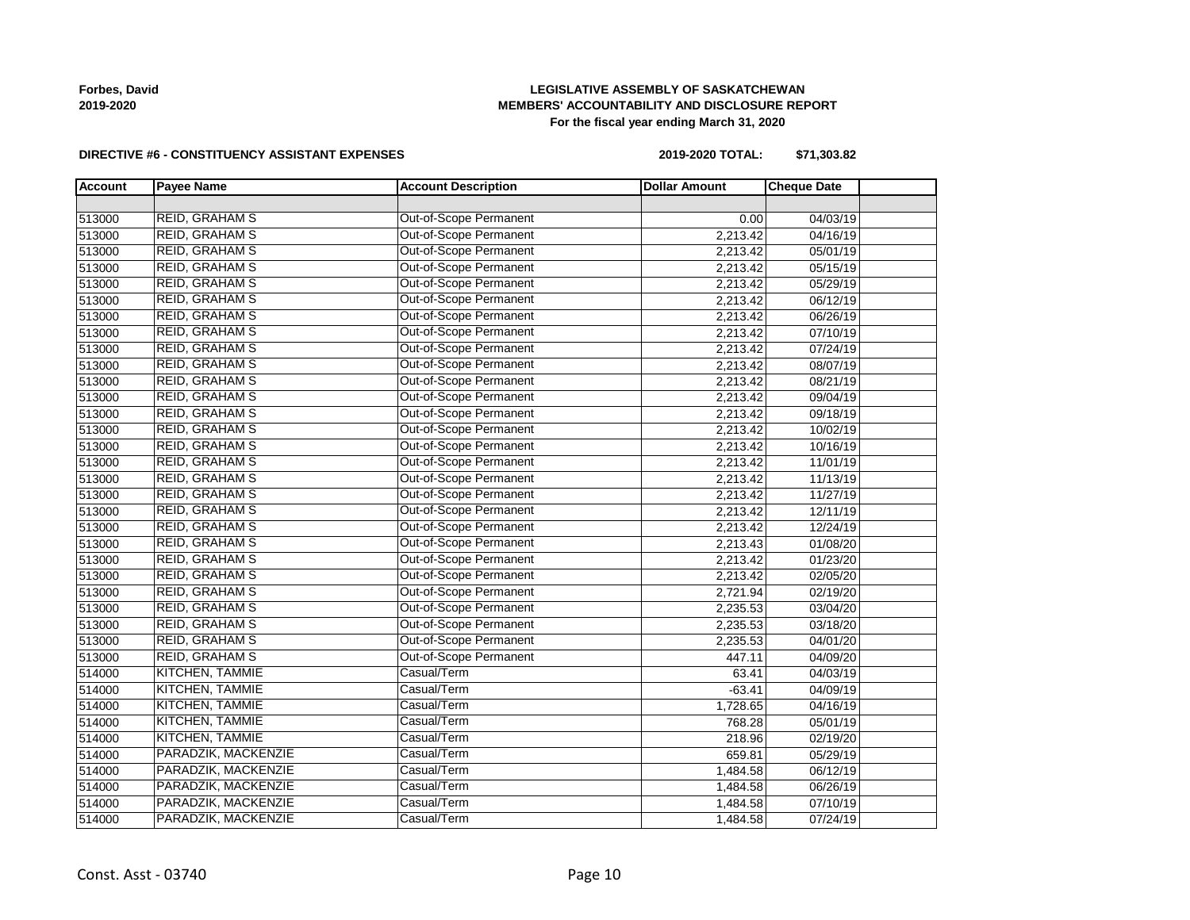# **LEGISLATIVE ASSEMBLY OF SASKATCHEWAN MEMBERS' ACCOUNTABILITY AND DISCLOSURE REPORT For the fiscal year ending March 31, 2020**

#### **DIRECTIVE #6 - CONSTITUENCY ASSISTANT EXPENSES**

**2019-2020 TOTAL: \$71,303.82**

| <b>Account</b> | <b>Payee Name</b>      | <b>Account Description</b>    | <b>Dollar Amount</b> | <b>Cheque Date</b> |  |
|----------------|------------------------|-------------------------------|----------------------|--------------------|--|
|                |                        |                               |                      |                    |  |
| 513000         | <b>REID, GRAHAM S</b>  | <b>Out-of-Scope Permanent</b> | 0.00                 | 04/03/19           |  |
| 513000         | <b>REID, GRAHAM S</b>  | Out-of-Scope Permanent        | 2,213.42             | 04/16/19           |  |
| 513000         | <b>REID, GRAHAM S</b>  | Out-of-Scope Permanent        | 2,213.42             | 05/01/19           |  |
| 513000         | <b>REID, GRAHAM S</b>  | Out-of-Scope Permanent        | 2,213.42             | 05/15/19           |  |
| 513000         | <b>REID, GRAHAM S</b>  | Out-of-Scope Permanent        | 2,213.42             | 05/29/19           |  |
| 513000         | <b>REID, GRAHAM S</b>  | Out-of-Scope Permanent        | 2,213.42             | 06/12/19           |  |
| 513000         | REID, GRAHAM S         | Out-of-Scope Permanent        | 2,213.42             | 06/26/19           |  |
| 513000         | REID, GRAHAM S         | Out-of-Scope Permanent        | 2,213.42             | 07/10/19           |  |
| 513000         | <b>REID, GRAHAM S</b>  | Out-of-Scope Permanent        | 2,213.42             | 07/24/19           |  |
| 513000         | REID, GRAHAM S         | Out-of-Scope Permanent        | 2,213.42             | 08/07/19           |  |
| 513000         | <b>REID, GRAHAM S</b>  | Out-of-Scope Permanent        | 2,213.42             | 08/21/19           |  |
| 513000         | REID, GRAHAM S         | Out-of-Scope Permanent        | 2,213.42             | 09/04/19           |  |
| 513000         | REID, GRAHAM S         | Out-of-Scope Permanent        | 2,213.42             | 09/18/19           |  |
| 513000         | REID, GRAHAM S         | Out-of-Scope Permanent        | 2,213.42             | 10/02/19           |  |
| 513000         | REID, GRAHAM S         | Out-of-Scope Permanent        | 2,213.42             | 10/16/19           |  |
| 513000         | <b>REID, GRAHAM S</b>  | Out-of-Scope Permanent        | 2,213.42             | 11/01/19           |  |
| 513000         | <b>REID, GRAHAM S</b>  | Out-of-Scope Permanent        | 2,213.42             | 11/13/19           |  |
| 513000         | REID, GRAHAM S         | Out-of-Scope Permanent        | 2,213.42             | 11/27/19           |  |
| 513000         | <b>REID, GRAHAM S</b>  | Out-of-Scope Permanent        | 2,213.42             | 12/11/19           |  |
| 513000         | <b>REID, GRAHAM S</b>  | Out-of-Scope Permanent        | 2,213.42             | 12/24/19           |  |
| 513000         | <b>REID, GRAHAM S</b>  | Out-of-Scope Permanent        | 2,213.43             | 01/08/20           |  |
| 513000         | <b>REID, GRAHAM S</b>  | Out-of-Scope Permanent        | 2,213.42             | 01/23/20           |  |
| 513000         | <b>REID, GRAHAM S</b>  | Out-of-Scope Permanent        | 2,213.42             | 02/05/20           |  |
| 513000         | <b>REID, GRAHAM S</b>  | Out-of-Scope Permanent        | 2,721.94             | 02/19/20           |  |
| 513000         | <b>REID, GRAHAM S</b>  | Out-of-Scope Permanent        | 2,235.53             | 03/04/20           |  |
| 513000         | <b>REID, GRAHAM S</b>  | Out-of-Scope Permanent        | 2,235.53             | 03/18/20           |  |
| 513000         | <b>REID, GRAHAM S</b>  | Out-of-Scope Permanent        | 2,235.53             | 04/01/20           |  |
| 513000         | <b>REID, GRAHAM S</b>  | Out-of-Scope Permanent        | 447.11               | 04/09/20           |  |
| 514000         | KITCHEN, TAMMIE        | Casual/Term                   | 63.41                | 04/03/19           |  |
| 514000         | <b>KITCHEN, TAMMIE</b> | Casual/Term                   | $-63.41$             | 04/09/19           |  |
| 514000         | <b>KITCHEN, TAMMIE</b> | Casual/Term                   | 1,728.65             | 04/16/19           |  |
| 514000         | <b>KITCHEN, TAMMIE</b> | Casual/Term                   | 768.28               | 05/01/19           |  |
| 514000         | <b>KITCHEN, TAMMIE</b> | Casual/Term                   | 218.96               | 02/19/20           |  |
| 514000         | PARADZIK, MACKENZIE    | Casual/Term                   | 659.81               | 05/29/19           |  |
| 514000         | PARADZIK, MACKENZIE    | Casual/Term                   | 1,484.58             | 06/12/19           |  |
| 514000         | PARADZIK, MACKENZIE    | Casual/Term                   | 1,484.58             | 06/26/19           |  |
| 514000         | PARADZIK, MACKENZIE    | Casual/Term                   | 1,484.58             | 07/10/19           |  |
| 514000         | PARADZIK, MACKENZIE    | Casual/Term                   | 1,484.58             | 07/24/19           |  |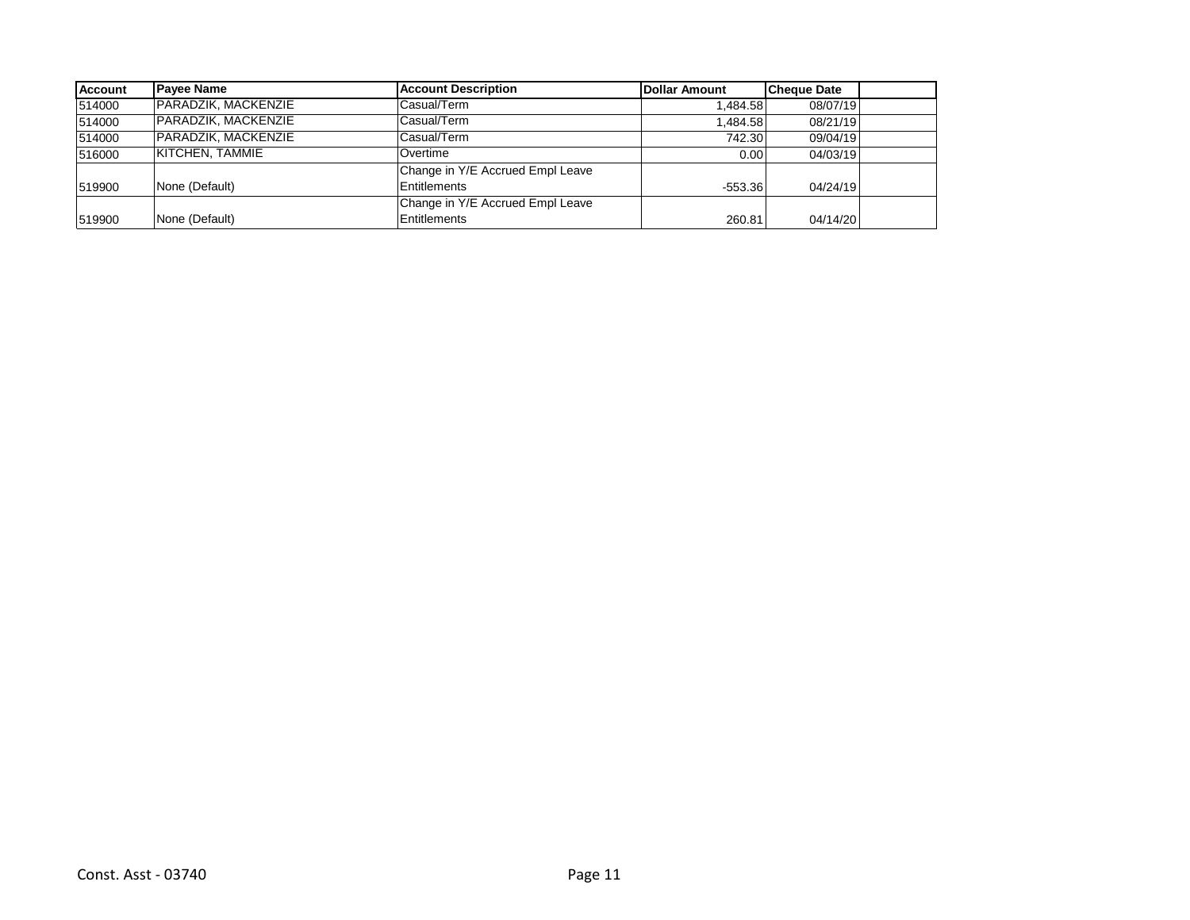| <b>Account</b> | <b>Pavee Name</b>      | <b>Account Description</b>       | <b>IDollar Amount</b> | <b>Cheque Date</b> |  |
|----------------|------------------------|----------------------------------|-----------------------|--------------------|--|
| 514000         | PARADZIK, MACKENZIE    | Casual/Term                      | 1.484.58              | 08/07/19           |  |
| 514000         | PARADZIK, MACKENZIE    | Casual/Term                      | 1.484.58              | 08/21/19           |  |
| 514000         | PARADZIK, MACKENZIE    | Casual/Term                      | 742.30                | 09/04/19           |  |
| 516000         | <b>KITCHEN, TAMMIE</b> | Overtime                         | 0.00                  | 04/03/19           |  |
|                |                        | Change in Y/E Accrued Empl Leave |                       |                    |  |
| 519900         | None (Default)         | Entitlements                     | $-553.36$             | 04/24/19           |  |
|                |                        | Change in Y/E Accrued Empl Leave |                       |                    |  |
| 519900         | None (Default)         | <b>Entitlements</b>              | 260.81                | 04/14/20           |  |